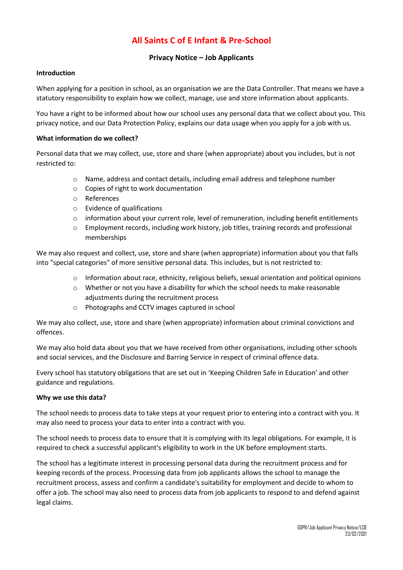# **All Saints C of E Infant & Pre-School**

# **Privacy Notice – Job Applicants**

### **Introduction**

When applying for a position in school, as an organisation we are the Data Controller. That means we have a statutory responsibility to explain how we collect, manage, use and store information about applicants.

You have a right to be informed about how our school uses any personal data that we collect about you. This privacy notice, and our Data Protection Policy, explains our data usage when you apply for a job with us.

### **What information do we collect?**

Personal data that we may collect, use, store and share (when appropriate) about you includes, but is not restricted to:

- o Name, address and contact details, including email address and telephone number
- o Copies of right to work documentation
- o References
- o Evidence of qualifications
- o information about your current role, level of remuneration, including benefit entitlements
- o Employment records, including work history, job titles, training records and professional memberships

We may also request and collect, use, store and share (when appropriate) information about you that falls into "special categories" of more sensitive personal data. This includes, but is not restricted to:

- $\circ$  Information about race, ethnicity, religious beliefs, sexual orientation and political opinions
- o Whether or not you have a disability for which the school needs to make reasonable adjustments during the recruitment process
- o Photographs and CCTV images captured in school

We may also collect, use, store and share (when appropriate) information about criminal convictions and offences.

We may also hold data about you that we have received from other organisations, including other schools and social services, and the Disclosure and Barring Service in respect of criminal offence data.

Every school has statutory obligations that are set out in 'Keeping Children Safe in Education' and other guidance and regulations.

### **Why we use this data?**

The school needs to process data to take steps at your request prior to entering into a contract with you. It may also need to process your data to enter into a contract with you.

The school needs to process data to ensure that it is complying with its legal obligations. For example, it is required to check a successful applicant's eligibility to work in the UK before employment starts.

The school has a legitimate interest in processing personal data during the recruitment process and for keeping records of the process. Processing data from job applicants allows the school to manage the recruitment process, assess and confirm a candidate's suitability for employment and decide to whom to offer a job. The school may also need to process data from job applicants to respond to and defend against legal claims.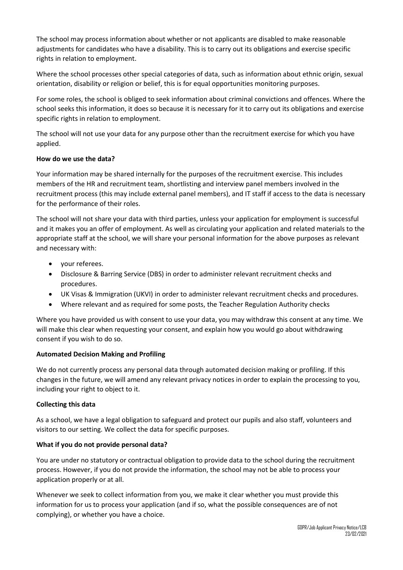The school may process information about whether or not applicants are disabled to make reasonable adjustments for candidates who have a disability. This is to carry out its obligations and exercise specific rights in relation to employment.

Where the school processes other special categories of data, such as information about ethnic origin, sexual orientation, disability or religion or belief, this is for equal opportunities monitoring purposes.

For some roles, the school is obliged to seek information about criminal convictions and offences. Where the school seeks this information, it does so because it is necessary for it to carry out its obligations and exercise specific rights in relation to employment.

The school will not use your data for any purpose other than the recruitment exercise for which you have applied.

## **How do we use the data?**

Your information may be shared internally for the purposes of the recruitment exercise. This includes members of the HR and recruitment team, shortlisting and interview panel members involved in the recruitment process (this may include external panel members), and IT staff if access to the data is necessary for the performance of their roles.

The school will not share your data with third parties, unless your application for employment is successful and it makes you an offer of employment. As well as circulating your application and related materials to the appropriate staff at the school, we will share your personal information for the above purposes as relevant and necessary with:

- your referees.
- Disclosure & Barring Service (DBS) in order to administer relevant recruitment checks and procedures.
- UK Visas & Immigration (UKVI) in order to administer relevant recruitment checks and procedures.
- Where relevant and as required for some posts, the Teacher Regulation Authority checks

Where you have provided us with consent to use your data, you may withdraw this consent at any time. We will make this clear when requesting your consent, and explain how you would go about withdrawing consent if you wish to do so.

## **Automated Decision Making and Profiling**

We do not currently process any personal data through automated decision making or profiling. If this changes in the future, we will amend any relevant privacy notices in order to explain the processing to you, including your right to object to it.

## **Collecting this data**

As a school, we have a legal obligation to safeguard and protect our pupils and also staff, volunteers and visitors to our setting. We collect the data for specific purposes.

## **What if you do not provide personal data?**

You are under no statutory or contractual obligation to provide data to the school during the recruitment process. However, if you do not provide the information, the school may not be able to process your application properly or at all.

Whenever we seek to collect information from you, we make it clear whether you must provide this information for us to process your application (and if so, what the possible consequences are of not complying), or whether you have a choice.